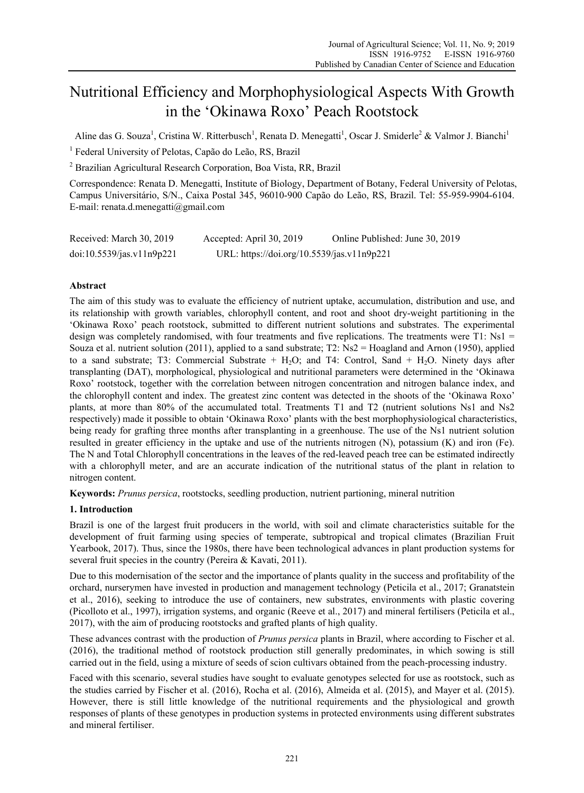# Nutritional Efficiency and Morphophysiological Aspects With Growth in the 'Okinawa Roxo' Peach Rootstock

Aline das G. Souza<sup>1</sup>, Cristina W. Ritterbusch<sup>1</sup>, Renata D. Menegatti<sup>1</sup>, Oscar J. Smiderle<sup>2</sup> & Valmor J. Bianchi<sup>1</sup>

<sup>1</sup> Federal University of Pelotas, Capão do Leão, RS, Brazil

2 Brazilian Agricultural Research Corporation, Boa Vista, RR, Brazil

Correspondence: Renata D. Menegatti, Institute of Biology, Department of Botany, Federal University of Pelotas, Campus Universitário, S/N., Caixa Postal 345, 96010-900 Capão do Leão, RS, Brazil. Tel: 55-959-9904-6104. E-mail: renata.d.menegatti@gmail.com

| Received: March 30, 2019  | Accepted: April 30, 2019                   | Online Published: June 30, 2019 |
|---------------------------|--------------------------------------------|---------------------------------|
| doi:10.5539/jas.v11n9p221 | URL: https://doi.org/10.5539/jas.v11n9p221 |                                 |

# **Abstract**

The aim of this study was to evaluate the efficiency of nutrient uptake, accumulation, distribution and use, and its relationship with growth variables, chlorophyll content, and root and shoot dry-weight partitioning in the 'Okinawa Roxo' peach rootstock, submitted to different nutrient solutions and substrates. The experimental design was completely randomised, with four treatments and five replications. The treatments were  $T1$ : Ns1 = Souza et al. nutrient solution (2011), applied to a sand substrate; T2: Ns2 = Hoagland and Arnon (1950), applied to a sand substrate; T3: Commercial Substrate  $+$  H<sub>2</sub>O; and T4: Control, Sand  $+$  H<sub>2</sub>O. Ninety days after transplanting (DAT), morphological, physiological and nutritional parameters were determined in the 'Okinawa Roxo' rootstock, together with the correlation between nitrogen concentration and nitrogen balance index, and the chlorophyll content and index. The greatest zinc content was detected in the shoots of the 'Okinawa Roxo' plants, at more than 80% of the accumulated total. Treatments T1 and T2 (nutrient solutions Ns1 and Ns2 respectively) made it possible to obtain 'Okinawa Roxo' plants with the best morphophysiological characteristics, being ready for grafting three months after transplanting in a greenhouse. The use of the Ns1 nutrient solution resulted in greater efficiency in the uptake and use of the nutrients nitrogen (N), potassium (K) and iron (Fe). The N and Total Chlorophyll concentrations in the leaves of the red-leaved peach tree can be estimated indirectly with a chlorophyll meter, and are an accurate indication of the nutritional status of the plant in relation to nitrogen content.

**Keywords:** *Prunus persica*, rootstocks, seedling production, nutrient partioning, mineral nutrition

# **1. Introduction**

Brazil is one of the largest fruit producers in the world, with soil and climate characteristics suitable for the development of fruit farming using species of temperate, subtropical and tropical climates (Brazilian Fruit Yearbook, 2017). Thus, since the 1980s, there have been technological advances in plant production systems for several fruit species in the country (Pereira & Kavati, 2011).

Due to this modernisation of the sector and the importance of plants quality in the success and profitability of the orchard, nurserymen have invested in production and management technology (Peticila et al., 2017; Granatstein et al., 2016), seeking to introduce the use of containers, new substrates, environments with plastic covering (Picolloto et al., 1997), irrigation systems, and organic (Reeve et al., 2017) and mineral fertilisers (Peticila et al., 2017), with the aim of producing rootstocks and grafted plants of high quality.

These advances contrast with the production of *Prunus persica* plants in Brazil, where according to Fischer et al. (2016), the traditional method of rootstock production still generally predominates, in which sowing is still carried out in the field, using a mixture of seeds of scion cultivars obtained from the peach-processing industry.

Faced with this scenario, several studies have sought to evaluate genotypes selected for use as rootstock, such as the studies carried by Fischer et al. (2016), Rocha et al. (2016), Almeida et al. (2015), and Mayer et al. (2015). However, there is still little knowledge of the nutritional requirements and the physiological and growth responses of plants of these genotypes in production systems in protected environments using different substrates and mineral fertiliser.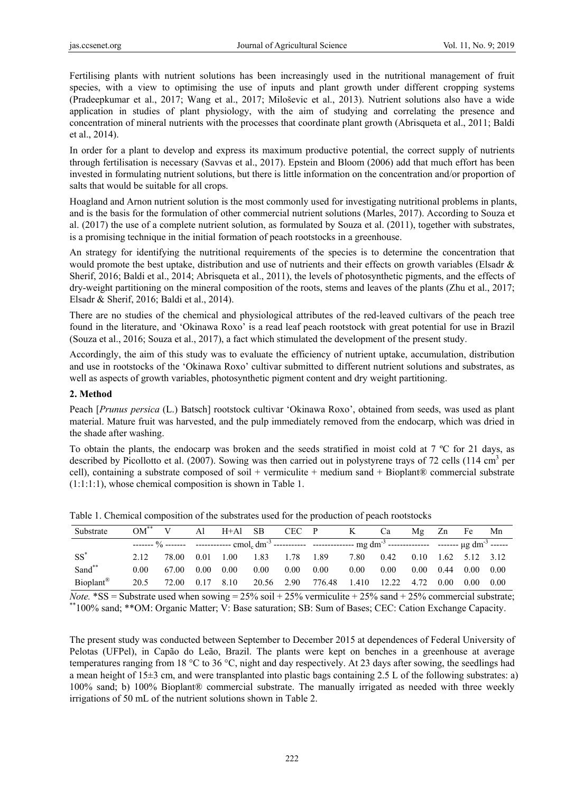Fertilising plants with nutrient solutions has been increasingly used in the nutritional management of fruit species, with a view to optimising the use of inputs and plant growth under different cropping systems (Pradeepkumar et al., 2017; Wang et al., 2017; Miloševic et al., 2013). Nutrient solutions also have a wide application in studies of plant physiology, with the aim of studying and correlating the presence and concentration of mineral nutrients with the processes that coordinate plant growth (Abrisqueta et al., 2011; Baldi et al., 2014).

In order for a plant to develop and express its maximum productive potential, the correct supply of nutrients through fertilisation is necessary (Savvas et al., 2017). Epstein and Bloom (2006) add that much effort has been invested in formulating nutrient solutions, but there is little information on the concentration and/or proportion of salts that would be suitable for all crops.

Hoagland and Arnon nutrient solution is the most commonly used for investigating nutritional problems in plants, and is the basis for the formulation of other commercial nutrient solutions (Marles, 2017). According to Souza et al. (2017) the use of a complete nutrient solution, as formulated by Souza et al. (2011), together with substrates, is a promising technique in the initial formation of peach rootstocks in a greenhouse.

An strategy for identifying the nutritional requirements of the species is to determine the concentration that would promote the best uptake, distribution and use of nutrients and their effects on growth variables (Elsadr & Sherif, 2016; Baldi et al., 2014; Abrisqueta et al., 2011), the levels of photosynthetic pigments, and the effects of dry-weight partitioning on the mineral composition of the roots, stems and leaves of the plants (Zhu et al., 2017; Elsadr & Sherif, 2016; Baldi et al., 2014).

There are no studies of the chemical and physiological attributes of the red-leaved cultivars of the peach tree found in the literature, and 'Okinawa Roxo' is a read leaf peach rootstock with great potential for use in Brazil (Souza et al., 2016; Souza et al., 2017), a fact which stimulated the development of the present study.

Accordingly, the aim of this study was to evaluate the efficiency of nutrient uptake, accumulation, distribution and use in rootstocks of the 'Okinawa Roxo' cultivar submitted to different nutrient solutions and substrates, as well as aspects of growth variables, photosynthetic pigment content and dry weight partitioning.

## **2. Method**

Peach [*Prunus persica* (L.) Batsch] rootstock cultivar 'Okinawa Roxo', obtained from seeds, was used as plant material. Mature fruit was harvested, and the pulp immediately removed from the endocarp, which was dried in the shade after washing.

To obtain the plants, the endocarp was broken and the seeds stratified in moist cold at 7 ºC for 21 days, as described by Picollotto et al. (2007). Sowing was then carried out in polystyrene trays of 72 cells (114 cm<sup>3</sup> per cell), containing a substrate composed of soil + vermiculite + medium sand + Bioplant® commercial substrate (1:1:1:1), whose chemical composition is shown in Table 1.

| Substrate             | $\overline{OM}^{**}$ |       | A1   | $H+A1$ SB |       | CEC P |                                                                                                                                                                                   |      | Ca    | Mg   | Zn   | Fe                | Mn   |
|-----------------------|----------------------|-------|------|-----------|-------|-------|-----------------------------------------------------------------------------------------------------------------------------------------------------------------------------------|------|-------|------|------|-------------------|------|
|                       |                      |       |      |           |       |       | ------- % ------- ------------- cmol <sub>c</sub> dm <sup>-3</sup> ----------- --------------- mg dm <sup>-3</sup> --------------- <sub>-</sub> ------ µg dm <sup>-3</sup> ------ |      |       |      |      |                   |      |
| $SS^*$                | 2.12                 | 78.00 | 0.01 | 1.00      | 1.83  | 1.78  | 1.89                                                                                                                                                                              | 7.80 | 0.42  | 0.10 | 1.62 | 5.12 3.12         |      |
| Sand**                | 0.00                 | 67.00 | 0.00 | 0.00      | 0.00  | 0.00  | 0.00                                                                                                                                                                              | 0.00 | 0.00  | 0.00 | 0.44 | 0.00              | 0.00 |
| Bioplant <sup>®</sup> | 20.5                 | 72.00 | 0.17 | 8.10      | 20.56 | 2.90  | 776.48                                                                                                                                                                            | .410 | 12.22 | 4.72 | 0.00 | 0.00 <sub>1</sub> | 0.00 |

Table 1. Chemical composition of the substrates used for the production of peach rootstocks

*Note.* \*SS = Substrate used when sowing = 25% soil + 25% vermiculite + 25% sand + 25% commercial substrate; \*\*100% sand; \*\*OM: Organic Matter; V: Base saturation; SB: Sum of Bases; CEC: Cation Exchange Capacity.

The present study was conducted between September to December 2015 at dependences of Federal University of Pelotas (UFPel), in Capão do Leão, Brazil. The plants were kept on benches in a greenhouse at average temperatures ranging from 18 °C to 36 °C, night and day respectively. At 23 days after sowing, the seedlings had a mean height of 15±3 cm, and were transplanted into plastic bags containing 2.5 L of the following substrates: a) 100% sand; b) 100% Bioplant® commercial substrate. The manually irrigated as needed with three weekly irrigations of 50 mL of the nutrient solutions shown in Table 2.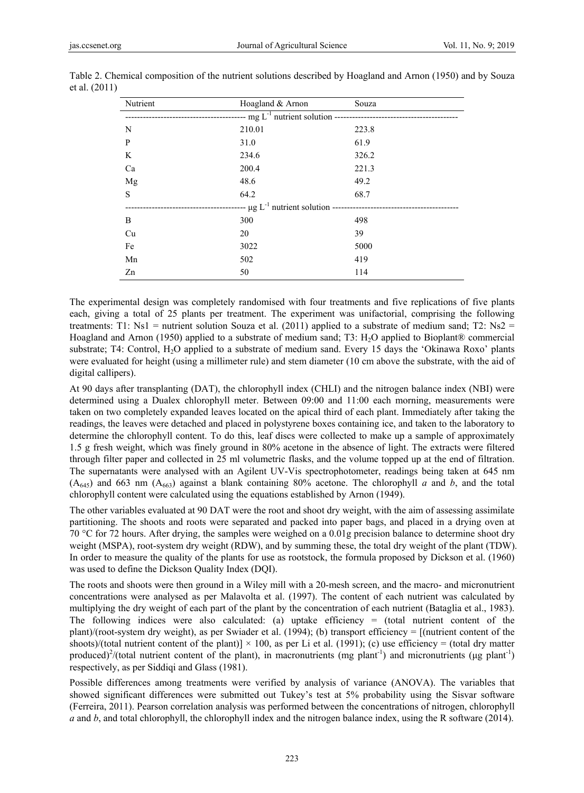| Nutrient | Hoagland & Arnon | Souza |
|----------|------------------|-------|
|          |                  |       |
| N        | 210.01           | 223.8 |
| P        | 31.0             | 61.9  |
| K        | 234.6            | 326.2 |
| Ca       | 200.4            | 221.3 |
| Mg       | 48.6             | 49.2  |
| S        | 64.2             | 68.7  |
|          |                  |       |
| B        | 300              | 498   |
| Cu       | 20               | 39    |
| Fe       | 3022             | 5000  |
| Mn       | 502              | 419   |
| Zn       | 50               | 114   |

Table 2. Chemical composition of the nutrient solutions described by Hoagland and Arnon (1950) and by Souza et al. (2011)

The experimental design was completely randomised with four treatments and five replications of five plants each, giving a total of 25 plants per treatment. The experiment was unifactorial, comprising the following treatments: T1: Ns1 = nutrient solution Souza et al. (2011) applied to a substrate of medium sand; T2: Ns2 = Hoagland and Arnon (1950) applied to a substrate of medium sand; T3: H2O applied to Bioplant® commercial substrate; T4: Control, H<sub>2</sub>O applied to a substrate of medium sand. Every 15 days the 'Okinawa Roxo' plants were evaluated for height (using a millimeter rule) and stem diameter (10 cm above the substrate, with the aid of digital callipers).

At 90 days after transplanting (DAT), the chlorophyll index (CHLI) and the nitrogen balance index (NBI) were determined using a Dualex chlorophyll meter. Between 09:00 and 11:00 each morning, measurements were taken on two completely expanded leaves located on the apical third of each plant. Immediately after taking the readings, the leaves were detached and placed in polystyrene boxes containing ice, and taken to the laboratory to determine the chlorophyll content. To do this, leaf discs were collected to make up a sample of approximately 1.5 g fresh weight, which was finely ground in 80% acetone in the absence of light. The extracts were filtered through filter paper and collected in 25 ml volumetric flasks, and the volume topped up at the end of filtration. The supernatants were analysed with an Agilent UV-Vis spectrophotometer, readings being taken at 645 nm  $(A<sub>645</sub>)$  and 663 nm  $(A<sub>663</sub>)$  against a blank containing 80% acetone. The chlorophyll *a* and *b*, and the total chlorophyll content were calculated using the equations established by Arnon (1949).

The other variables evaluated at 90 DAT were the root and shoot dry weight, with the aim of assessing assimilate partitioning. The shoots and roots were separated and packed into paper bags, and placed in a drying oven at 70 °C for 72 hours. After drying, the samples were weighed on a 0.01g precision balance to determine shoot dry weight (MSPA), root-system dry weight (RDW), and by summing these, the total dry weight of the plant (TDW). In order to measure the quality of the plants for use as rootstock, the formula proposed by Dickson et al. (1960) was used to define the Dickson Quality Index (DQI).

The roots and shoots were then ground in a Wiley mill with a 20-mesh screen, and the macro- and micronutrient concentrations were analysed as per Malavolta et al. (1997). The content of each nutrient was calculated by multiplying the dry weight of each part of the plant by the concentration of each nutrient (Bataglia et al., 1983). The following indices were also calculated: (a) uptake efficiency  $=$  (total nutrient content of the plant)/(root-system dry weight), as per Swiader et al. (1994); (b) transport efficiency = [(nutrient content of the shoots)/(total nutrient content of the plant)]  $\times$  100, as per Li et al. (1991); (c) use efficiency = (total dry matter produced)<sup>2</sup>/(total nutrient content of the plant), in macronutrients (mg plant<sup>-1</sup>) and micronutrients (µg plant<sup>-1</sup>) respectively, as per Siddiqi and Glass (1981).

Possible differences among treatments were verified by analysis of variance (ANOVA). The variables that showed significant differences were submitted out Tukey's test at 5% probability using the Sisvar software (Ferreira, 2011). Pearson correlation analysis was performed between the concentrations of nitrogen, chlorophyll *a* and *b*, and total chlorophyll, the chlorophyll index and the nitrogen balance index, using the R software (2014).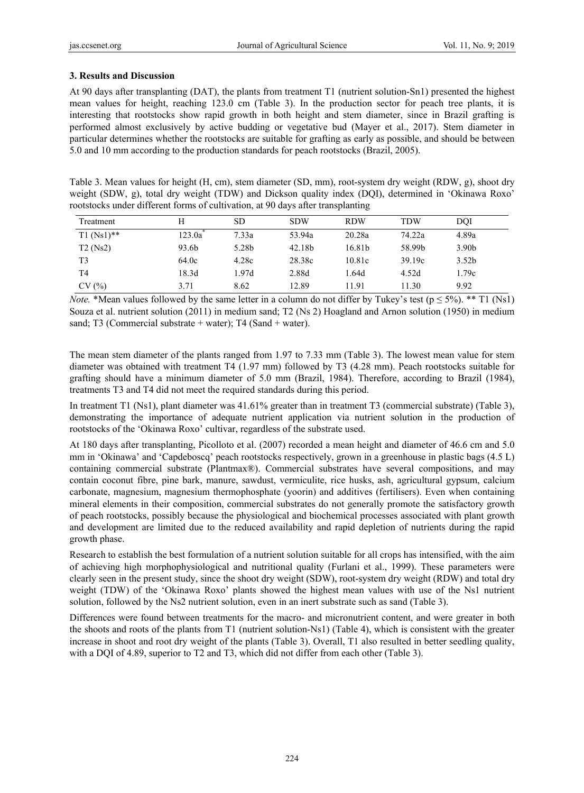## **3. Results and Discussion**

At 90 days after transplanting (DAT), the plants from treatment T1 (nutrient solution-Sn1) presented the highest mean values for height, reaching 123.0 cm (Table 3). In the production sector for peach tree plants, it is interesting that rootstocks show rapid growth in both height and stem diameter, since in Brazil grafting is performed almost exclusively by active budding or vegetative bud (Mayer et al., 2017). Stem diameter in particular determines whether the rootstocks are suitable for grafting as early as possible, and should be between 5.0 and 10 mm according to the production standards for peach rootstocks (Brazil, 2005).

Table 3. Mean values for height (H, cm), stem diameter (SD, mm), root-system dry weight (RDW, g), shoot dry weight (SDW, g), total dry weight (TDW) and Dickson quality index (DQI), determined in 'Okinawa Roxo' rootstocks under different forms of cultivation, at 90 days after transplanting

| Treatment      | H      | SD    | <b>SDW</b> | <b>RDW</b> | TDW    | DOI               |
|----------------|--------|-------|------------|------------|--------|-------------------|
| $T1 (Ns1)$ **  | 123.0a | 7.33a | 53.94a     | 20.28a     | 74.22a | 4.89a             |
| T2(Ns2)        | 93.6b  | 5.28b | 42.18b     | 16.81b     | 58.99b | 3.90 <sub>b</sub> |
| T <sub>3</sub> | 64.0c  | 4.28c | 28.38c     | 10.81c     | 39.19c | 3.52 <sub>b</sub> |
| T <sub>4</sub> | 18.3d  | 1.97d | 2.88d      | 1.64d      | 4.52d  | 1.79c             |
| CV(%)          | 3.71   | 8.62  | 12.89      | 11.91      | 11.30  | 9.92              |

*Note.* \*Mean values followed by the same letter in a column do not differ by Tukey's test ( $p \le 5\%$ ). \*\* T1 (Ns1) Souza et al. nutrient solution (2011) in medium sand; T2 (Ns 2) Hoagland and Arnon solution (1950) in medium sand; T3 (Commercial substrate + water); T4 (Sand + water).

The mean stem diameter of the plants ranged from 1.97 to 7.33 mm (Table 3). The lowest mean value for stem diameter was obtained with treatment T4 (1.97 mm) followed by T3 (4.28 mm). Peach rootstocks suitable for grafting should have a minimum diameter of 5.0 mm (Brazil, 1984). Therefore, according to Brazil (1984), treatments T3 and T4 did not meet the required standards during this period.

In treatment T1 (Ns1), plant diameter was 41.61% greater than in treatment T3 (commercial substrate) (Table 3), demonstrating the importance of adequate nutrient application via nutrient solution in the production of rootstocks of the 'Okinawa Roxo' cultivar, regardless of the substrate used.

At 180 days after transplanting, Picolloto et al. (2007) recorded a mean height and diameter of 46.6 cm and 5.0 mm in 'Okinawa' and 'Capdeboscq' peach rootstocks respectively, grown in a greenhouse in plastic bags (4.5 L) containing commercial substrate (Plantmax®). Commercial substrates have several compositions, and may contain coconut fibre, pine bark, manure, sawdust, vermiculite, rice husks, ash, agricultural gypsum, calcium carbonate, magnesium, magnesium thermophosphate (yoorin) and additives (fertilisers). Even when containing mineral elements in their composition, commercial substrates do not generally promote the satisfactory growth of peach rootstocks, possibly because the physiological and biochemical processes associated with plant growth and development are limited due to the reduced availability and rapid depletion of nutrients during the rapid growth phase.

Research to establish the best formulation of a nutrient solution suitable for all crops has intensified, with the aim of achieving high morphophysiological and nutritional quality (Furlani et al., 1999). These parameters were clearly seen in the present study, since the shoot dry weight (SDW), root-system dry weight (RDW) and total dry weight (TDW) of the 'Okinawa Roxo' plants showed the highest mean values with use of the Ns1 nutrient solution, followed by the Ns2 nutrient solution, even in an inert substrate such as sand (Table 3).

Differences were found between treatments for the macro- and micronutrient content, and were greater in both the shoots and roots of the plants from T1 (nutrient solution-Ns1) (Table 4), which is consistent with the greater increase in shoot and root dry weight of the plants (Table 3). Overall, T1 also resulted in better seedling quality, with a DQI of 4.89, superior to T2 and T3, which did not differ from each other (Table 3).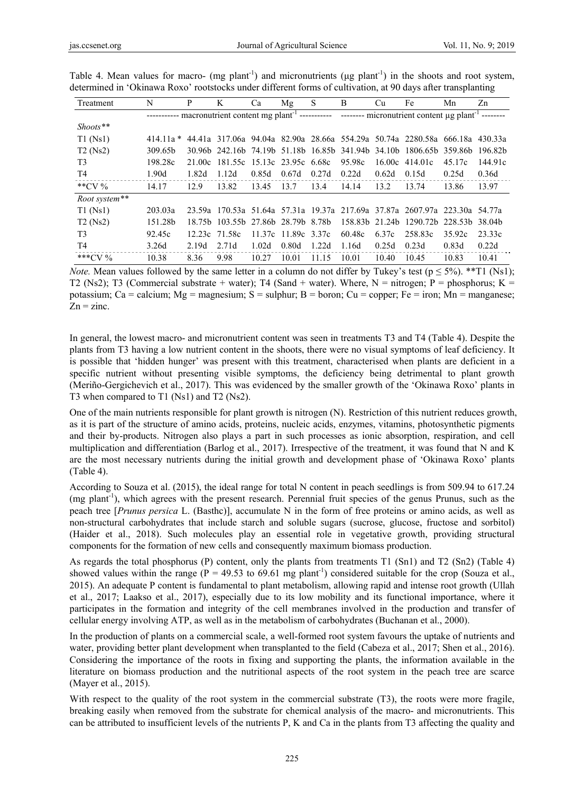| Treatment                                                                                                                   | N                   | P      | K                                  | Ca    | Mg                  | S     | B      | Cu    | Fe                                                                          | Mn     | Zn      |
|-----------------------------------------------------------------------------------------------------------------------------|---------------------|--------|------------------------------------|-------|---------------------|-------|--------|-------|-----------------------------------------------------------------------------|--------|---------|
| ----------- macronutrient content mg plant <sup>-1</sup> ----------- --------- micronutrient content µg plant <sup>-1</sup> |                     |        |                                    |       |                     |       |        |       |                                                                             |        |         |
| $\textit{Shoots}$ **                                                                                                        |                     |        |                                    |       |                     |       |        |       |                                                                             |        |         |
| $T1$ (Ns1)                                                                                                                  | $414.11a*$          |        |                                    |       |                     |       |        |       | 44.41a 317.06a 94.04a 82.90a 28.66a 554.29a 50.74a 2280.58a 666.18a 430.33a |        |         |
| T2(Ns2)                                                                                                                     | 309.65 <sub>h</sub> |        |                                    |       |                     |       |        |       | 30.96b 242.16b 74.19b 51.18b 16.85b 341.94b 34.10b 1806.65b 359.86b         |        | 196.82b |
| T <sub>3</sub>                                                                                                              | 198.28c             | 21 00c | 181.55c 15.13c 23.95c 6.68c        |       |                     |       | 95.98c |       | $16.00c$ 414.01c                                                            | 45.17c | 144.91c |
| T4                                                                                                                          | 1.90d               | 1.82d  | 1.12d                              | 0.85d | 0.67d               | 0.27d | 0.22d  | 0.62d | 0.15d                                                                       | 0.25d  | 0.36d   |
| **CV $\%$                                                                                                                   | 14.17               | 12.9   | 13.82                              | 13.45 | 13.7                | 13.4  | 14.14  | 13.2  | 13.74                                                                       | 13.86  | 13.97   |
| Root system**                                                                                                               |                     |        |                                    |       |                     |       |        |       |                                                                             |        |         |
| T1(Ns1)                                                                                                                     | 203.03a             |        |                                    |       |                     |       |        |       | 23.59a 170.53a 51.64a 57.31a 19.37a 217.69a 37.87a 2607.97a 223.30a 54.77a  |        |         |
| T2(Ns2)                                                                                                                     | 151.28b             |        | 18.75b 103.55b 27.86b 28.79b 8.78b |       |                     |       |        |       | 158.83b 21.24b 1290.72b 228.53b 38.04b                                      |        |         |
| T <sub>3</sub>                                                                                                              | 92.45c              |        | 12.23c 71.58c                      |       | 11.37c 11.89c 3.37c |       | 60.48c | 6.37c | 258.83c                                                                     | 35.92c | 23.33c  |
| T4                                                                                                                          | 3.26d               | 2.19d  | 2.71d                              | 1.02d | 0.80d               | 1.22d | 1.16d  | 0.25d | 0.23d                                                                       | 0.83d  | 0.22d   |
| *** $CV%$                                                                                                                   | 10.38               | 8.36   | 9.98                               | 10.27 | 10.01               | 11.15 | 10.01  | 10.40 | 10.45                                                                       | 10.83  | 10.41   |

Table 4. Mean values for macro- (mg plant<sup>-1</sup>) and micronutrients ( $\mu$ g plant<sup>-1</sup>) in the shoots and root system, determined in 'Okinawa Roxo' rootstocks under different forms of cultivation, at 90 days after transplanting

*Note.* Mean values followed by the same letter in a column do not differ by Tukey's test ( $p \le 5\%$ ). \*\*T1 (Ns1); T2 (Ns2); T3 (Commercial substrate + water); T4 (Sand + water). Where, N = nitrogen; P = phosphorus; K = potassium; Ca = calcium; Mg = magnesium; S = sulphur; B = boron; Cu = copper; Fe = iron; Mn = manganese;  $Zn = \text{zinc}.$ 

In general, the lowest macro- and micronutrient content was seen in treatments T3 and T4 (Table 4). Despite the plants from T3 having a low nutrient content in the shoots, there were no visual symptoms of leaf deficiency. It is possible that 'hidden hunger' was present with this treatment, characterised when plants are deficient in a specific nutrient without presenting visible symptoms, the deficiency being detrimental to plant growth (Meriño-Gergichevich et al., 2017). This was evidenced by the smaller growth of the 'Okinawa Roxo' plants in T3 when compared to T1 (Ns1) and T2 (Ns2).

One of the main nutrients responsible for plant growth is nitrogen (N). Restriction of this nutrient reduces growth, as it is part of the structure of amino acids, proteins, nucleic acids, enzymes, vitamins, photosynthetic pigments and their by-products. Nitrogen also plays a part in such processes as ionic absorption, respiration, and cell multiplication and differentiation (Barlog et al., 2017). Irrespective of the treatment, it was found that N and K are the most necessary nutrients during the initial growth and development phase of 'Okinawa Roxo' plants (Table 4).

According to Souza et al. (2015), the ideal range for total N content in peach seedlings is from 509.94 to 617.24 (mg plant-1), which agrees with the present research. Perennial fruit species of the genus Prunus, such as the peach tree [*Prunus persica* L. (Basthc)], accumulate N in the form of free proteins or amino acids, as well as non-structural carbohydrates that include starch and soluble sugars (sucrose, glucose, fructose and sorbitol) (Haider et al., 2018). Such molecules play an essential role in vegetative growth, providing structural components for the formation of new cells and consequently maximum biomass production.

As regards the total phosphorus (P) content, only the plants from treatments T1 (Sn1) and T2 (Sn2) (Table 4) showed values within the range (P = 49.53 to 69.61 mg plant<sup>-1</sup>) considered suitable for the crop (Souza et al., 2015). An adequate P content is fundamental to plant metabolism, allowing rapid and intense root growth (Ullah et al., 2017; Laakso et al., 2017), especially due to its low mobility and its functional importance, where it participates in the formation and integrity of the cell membranes involved in the production and transfer of cellular energy involving ATP, as well as in the metabolism of carbohydrates (Buchanan et al., 2000).

In the production of plants on a commercial scale, a well-formed root system favours the uptake of nutrients and water, providing better plant development when transplanted to the field (Cabeza et al., 2017; Shen et al., 2016). Considering the importance of the roots in fixing and supporting the plants, the information available in the literature on biomass production and the nutritional aspects of the root system in the peach tree are scarce (Mayer et al., 2015).

With respect to the quality of the root system in the commercial substrate (T3), the roots were more fragile, breaking easily when removed from the substrate for chemical analysis of the macro- and micronutrients. This can be attributed to insufficient levels of the nutrients P, K and Ca in the plants from T3 affecting the quality and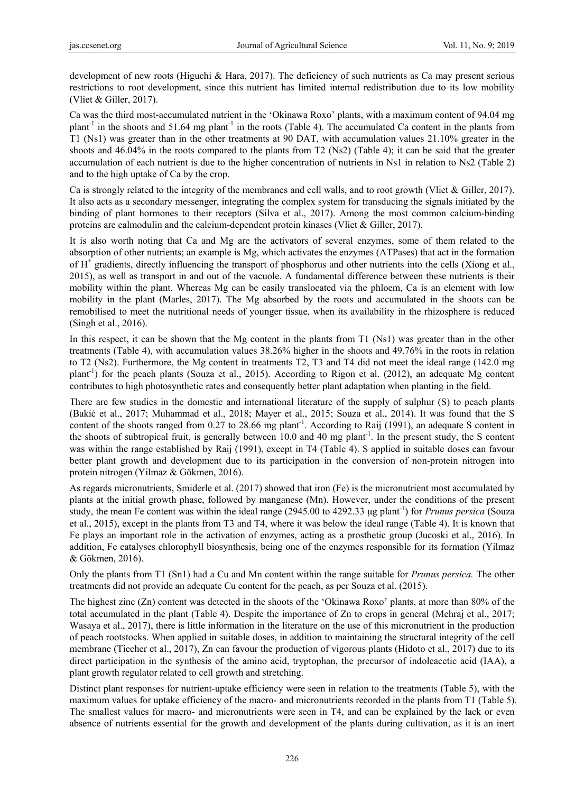development of new roots (Higuchi & Hara, 2017). The deficiency of such nutrients as Ca may present serious restrictions to root development, since this nutrient has limited internal redistribution due to its low mobility (Vliet & Giller, 2017).

Ca was the third most-accumulated nutrient in the 'Okinawa Roxo' plants, with a maximum content of 94.04 mg plant<sup>-1</sup> in the shoots and 51.64 mg plant<sup>-1</sup> in the roots (Table 4). The accumulated Ca content in the plants from T1 (Ns1) was greater than in the other treatments at 90 DAT, with accumulation values 21.10% greater in the shoots and 46.04% in the roots compared to the plants from T2 (Ns2) (Table 4); it can be said that the greater accumulation of each nutrient is due to the higher concentration of nutrients in Ns1 in relation to Ns2 (Table 2) and to the high uptake of Ca by the crop.

Ca is strongly related to the integrity of the membranes and cell walls, and to root growth (Vliet & Giller, 2017). It also acts as a secondary messenger, integrating the complex system for transducing the signals initiated by the binding of plant hormones to their receptors (Silva et al., 2017). Among the most common calcium-binding proteins are calmodulin and the calcium-dependent protein kinases (Vliet & Giller, 2017).

It is also worth noting that Ca and Mg are the activators of several enzymes, some of them related to the absorption of other nutrients; an example is Mg, which activates the enzymes (ATPases) that act in the formation of H<sup>+</sup> gradients, directly influencing the transport of phosphorus and other nutrients into the cells (Xiong et al., 2015), as well as transport in and out of the vacuole. A fundamental difference between these nutrients is their mobility within the plant. Whereas Mg can be easily translocated via the phloem, Ca is an element with low mobility in the plant (Marles, 2017). The Mg absorbed by the roots and accumulated in the shoots can be remobilised to meet the nutritional needs of younger tissue, when its availability in the rhizosphere is reduced (Singh et al., 2016).

In this respect, it can be shown that the Mg content in the plants from T1 (Ns1) was greater than in the other treatments (Table 4), with accumulation values 38.26% higher in the shoots and 49.76% in the roots in relation to T2 (Ns2). Furthermore, the Mg content in treatments T2, T3 and T4 did not meet the ideal range (142.0 mg plant<sup>-1</sup>) for the peach plants (Souza et al., 2015). According to Rigon et al. (2012), an adequate Mg content contributes to high photosynthetic rates and consequently better plant adaptation when planting in the field.

There are few studies in the domestic and international literature of the supply of sulphur (S) to peach plants (Bakić et al., 2017; Muhammad et al., 2018; Mayer et al., 2015; Souza et al., 2014). It was found that the S content of the shoots ranged from 0.27 to 28.66 mg plant<sup>-1</sup>. According to Raij (1991), an adequate S content in the shoots of subtropical fruit, is generally between 10.0 and 40 mg plant<sup>-1</sup>. In the present study, the S content was within the range established by Raij (1991), except in T4 (Table 4). S applied in suitable doses can favour better plant growth and development due to its participation in the conversion of non-protein nitrogen into protein nitrogen (Yilmaz & Gökmen, 2016).

As regards micronutrients, Smiderle et al. (2017) showed that iron (Fe) is the micronutrient most accumulated by plants at the initial growth phase, followed by manganese (Mn). However, under the conditions of the present study, the mean Fe content was within the ideal range (2945.00 to 4292.33 μg plant-1) for *Prunus persica* (Souza et al., 2015), except in the plants from T3 and T4, where it was below the ideal range (Table 4). It is known that Fe plays an important role in the activation of enzymes, acting as a prosthetic group (Jucoski et al., 2016). In addition, Fe catalyses chlorophyll biosynthesis, being one of the enzymes responsible for its formation (Yilmaz & Gökmen, 2016).

Only the plants from T1 (Sn1) had a Cu and Mn content within the range suitable for *Prunus persica.* The other treatments did not provide an adequate Cu content for the peach, as per Souza et al. (2015).

The highest zinc (Zn) content was detected in the shoots of the 'Okinawa Roxo' plants, at more than 80% of the total accumulated in the plant (Table 4). Despite the importance of Zn to crops in general (Mehraj et al., 2017; Wasaya et al., 2017), there is little information in the literature on the use of this micronutrient in the production of peach rootstocks. When applied in suitable doses, in addition to maintaining the structural integrity of the cell membrane (Tiecher et al., 2017), Zn can favour the production of vigorous plants (Hidoto et al., 2017) due to its direct participation in the synthesis of the amino acid, tryptophan, the precursor of indoleacetic acid (IAA), a plant growth regulator related to cell growth and stretching.

Distinct plant responses for nutrient-uptake efficiency were seen in relation to the treatments (Table 5), with the maximum values for uptake efficiency of the macro- and micronutrients recorded in the plants from T1 (Table 5). The smallest values for macro- and micronutrients were seen in T4, and can be explained by the lack or even absence of nutrients essential for the growth and development of the plants during cultivation, as it is an inert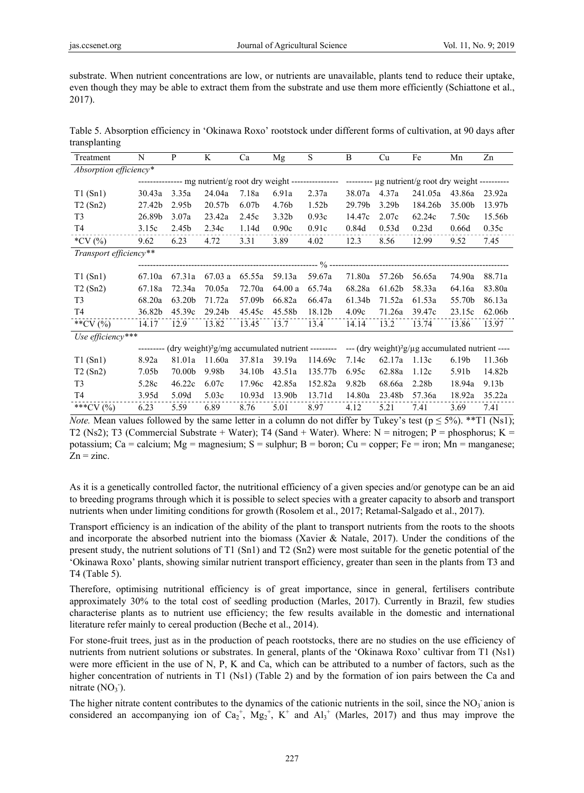substrate. When nutrient concentrations are low, or nutrients are unavailable, plants tend to reduce their uptake, even though they may be able to extract them from the substrate and use them more efficiently (Schiattone et al., 2017).

Table 5. Absorption efficiency in 'Okinawa Roxo' rootstock under different forms of cultivation, at 90 days after transplanting

| Treatment              | N                 | P                 | K      | Ca                | Mg                | S                 | B                                                                                                                | Cu                | Fe                                                                                                                                   | Mn                | Zn     |
|------------------------|-------------------|-------------------|--------|-------------------|-------------------|-------------------|------------------------------------------------------------------------------------------------------------------|-------------------|--------------------------------------------------------------------------------------------------------------------------------------|-------------------|--------|
| Absorption efficiency* |                   |                   |        |                   |                   |                   |                                                                                                                  |                   |                                                                                                                                      |                   |        |
|                        |                   |                   |        |                   |                   |                   | --------------- mg nutrient/g root dry weight ----------------- -------- µg nutrient/g root dry weight --------- |                   |                                                                                                                                      |                   |        |
| T1(Sn1)                | 30.43a            | 3.35a             | 24.04a | 7.18a             | 6.91a             | 2.37a             | 38.07a                                                                                                           | 4.37a             | 241.05a                                                                                                                              | 43.86a            | 23.92a |
| T2(Sn2)                | 27.42b            | 2.95 <sub>b</sub> | 20.57b | 6.07 <sub>b</sub> | 4.76b             | 1.52 <sub>b</sub> | 29.79b                                                                                                           | 3.29 <sub>b</sub> | 184.26b                                                                                                                              | 35.00b            | 13.97b |
| T <sub>3</sub>         | 26.89b            | 3.07a             | 23.42a | 2.45c             | 3.32 <sub>b</sub> | 0.93c             | 14.47c                                                                                                           | 2.07c             | 62.24c                                                                                                                               | 7.50c             | 15.56b |
| T4                     | 3.15c             | 2.45b             | 2.34c  | 1.14d             | 0.90c             | 0.91c             | 0.84d                                                                                                            | 0.53d             | 0.23d                                                                                                                                | 0.66d             | 0.35c  |
| *CV $(% )$             | 9.62              | 6.23              | 4.72   | 3.31              | 3.89              | 4.02              | 12.3                                                                                                             | 8.56              | 12.99                                                                                                                                | 9.52              | 7.45   |
| Transport efficiency** |                   |                   |        |                   |                   |                   |                                                                                                                  |                   |                                                                                                                                      |                   |        |
|                        |                   |                   |        |                   |                   |                   |                                                                                                                  |                   |                                                                                                                                      |                   |        |
| T1(Sn1)                | 67.10a            | 67.31a            | 67.03a | 65.55a            | 59.13a            | 59.67a            | 71.80a                                                                                                           | 57.26b            | 56.65a                                                                                                                               | 74.90a            | 88.71a |
| T2(Sn2)                | 67.18a            | 72.34a            | 70.05a | 72.70a            | 64.00 a           | 65.74a            | 68.28a                                                                                                           | 61.62b            | 58.33a                                                                                                                               | 64.16a            | 83.80a |
| T <sub>3</sub>         | 68.20a            | 63.20b            | 71.72a | 57.09b            | 66.82a            | 66.47a            | 61.34b                                                                                                           | 71.52a            | 61.53a                                                                                                                               | 55.70b            | 86.13a |
| T4                     | 36.82b            | 45.39c            | 29.24b | 45.45c            | 45.58b            | 18.12b            | 4.09c                                                                                                            | 71.26a            | 39.47c                                                                                                                               | 23.15c            | 62.06b |
| **CV $(%)$             | 14.17             | 12.9              | 13.82  | 13.45             | 13.7              | 13.4              | 14.14                                                                                                            | 13.2              | 13.74                                                                                                                                | 13.86             | 13.97  |
| Use efficiency***      |                   |                   |        |                   |                   |                   |                                                                                                                  |                   |                                                                                                                                      |                   |        |
|                        |                   |                   |        |                   |                   |                   |                                                                                                                  |                   | --------- (dry weight) <sup>2</sup> g/mg accumulated nutrient --------- --- (dry weight) <sup>2</sup> g/µg accumulated nutrient ---- |                   |        |
| T1(Sn1)                | 8.92a             | 81.01a            | 11.60a | 37.81a            | 39.19a            | 114.69c           | 7.14c                                                                                                            | 62.17a            | 1.13c                                                                                                                                | 6.19 <sub>b</sub> | 11.36b |
| T2(Sn2)                | 7.05 <sub>b</sub> | 70.00b            | 9.98b  | 34.10b            | 43.51a            | 135.77b           | 6.95c                                                                                                            | 62.88a            | 1.12c                                                                                                                                | 5.91b             | 14.82b |
| T <sub>3</sub>         | 5.28c             | 46.22c            | 6.07c  | 17.96c            | 42.85a            | 152.82a           | 9.82 <sub>b</sub>                                                                                                | 68.66a            | 2.28b                                                                                                                                | 18.94a            | 9.13b  |
| T4                     | 3.95d             | 5.09d             | 5.03c  | 10.93d            | 13.90b            | 13.71d            | 14.80a                                                                                                           | 23.48b            | 57.36a                                                                                                                               | 18.92a            | 35.22a |
| ***CV (%)              | 6.23              | 5.59              | 6.89   | 8.76              | 5.01              | 8.97              | 4.12                                                                                                             | 5.21              | 7.41                                                                                                                                 | 3.69              | 7.41   |

*Note.* Mean values followed by the same letter in a column do not differ by Tukey's test ( $p \le 5\%$ ). \*\*T1 (Ns1); T2 (Ns2); T3 (Commercial Substrate + Water); T4 (Sand + Water). Where: N = nitrogen; P = phosphorus; K = potassium; Ca = calcium; Mg = magnesium; S = sulphur; B = boron; Cu = copper; Fe = iron; Mn = manganese;  $Zn =$ zinc.

As it is a genetically controlled factor, the nutritional efficiency of a given species and/or genotype can be an aid to breeding programs through which it is possible to select species with a greater capacity to absorb and transport nutrients when under limiting conditions for growth (Rosolem et al., 2017; Retamal-Salgado et al., 2017).

Transport efficiency is an indication of the ability of the plant to transport nutrients from the roots to the shoots and incorporate the absorbed nutrient into the biomass (Xavier & Natale, 2017). Under the conditions of the present study, the nutrient solutions of T1 (Sn1) and T2 (Sn2) were most suitable for the genetic potential of the 'Okinawa Roxo' plants, showing similar nutrient transport efficiency, greater than seen in the plants from T3 and T4 (Table 5).

Therefore, optimising nutritional efficiency is of great importance, since in general, fertilisers contribute approximately 30% to the total cost of seedling production (Marles, 2017). Currently in Brazil, few studies characterise plants as to nutrient use efficiency; the few results available in the domestic and international literature refer mainly to cereal production (Beche et al., 2014).

For stone-fruit trees, just as in the production of peach rootstocks, there are no studies on the use efficiency of nutrients from nutrient solutions or substrates. In general, plants of the 'Okinawa Roxo' cultivar from T1 (Ns1) were more efficient in the use of N, P, K and Ca, which can be attributed to a number of factors, such as the higher concentration of nutrients in T1 (Ns1) (Table 2) and by the formation of ion pairs between the Ca and nitrate  $(NO<sub>3</sub>^{\circ}).$ 

The higher nitrate content contributes to the dynamics of the cationic nutrients in the soil, since the  $NO<sub>3</sub>$  anion is considered an accompanying ion of  $Ca_2^+$ ,  $Mg_2^+$ ,  $K^+$  and  $Al_3^+$  (Marles, 2017) and thus may improve the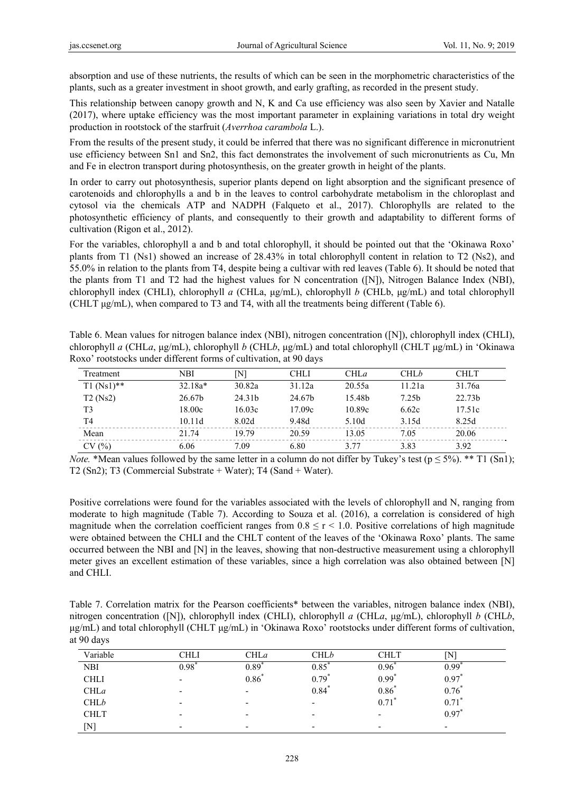absorption and use of these nutrients, the results of which can be seen in the morphometric characteristics of the plants, such as a greater investment in shoot growth, and early grafting, as recorded in the present study.

This relationship between canopy growth and N, K and Ca use efficiency was also seen by Xavier and Natalle (2017), where uptake efficiency was the most important parameter in explaining variations in total dry weight production in rootstock of the starfruit (*Averrhoa carambola* L.).

From the results of the present study, it could be inferred that there was no significant difference in micronutrient use efficiency between Sn1 and Sn2, this fact demonstrates the involvement of such micronutrients as Cu, Mn and Fe in electron transport during photosynthesis, on the greater growth in height of the plants.

In order to carry out photosynthesis, superior plants depend on light absorption and the significant presence of carotenoids and chlorophylls a and b in the leaves to control carbohydrate metabolism in the chloroplast and cytosol via the chemicals ATP and NADPH (Falqueto et al., 2017). Chlorophylls are related to the photosynthetic efficiency of plants, and consequently to their growth and adaptability to different forms of cultivation (Rigon et al., 2012).

For the variables, chlorophyll a and b and total chlorophyll, it should be pointed out that the 'Okinawa Roxo' plants from T1 (Ns1) showed an increase of 28.43% in total chlorophyll content in relation to T2 (Ns2), and 55.0% in relation to the plants from T4, despite being a cultivar with red leaves (Table 6). It should be noted that the plants from T1 and T2 had the highest values for N concentration ([N]), Nitrogen Balance Index (NBI), chlorophyll index (CHLI), chlorophyll *a* (CHLa, μg/mL), chlorophyll *b* (CHLb, μg/mL) and total chlorophyll (CHLT μg/mL), when compared to T3 and T4, with all the treatments being different (Table 6).

Table 6. Mean values for nitrogen balance index (NBI), nitrogen concentration ([N]), chlorophyll index (CHLI), chlorophyll *a* (CHL*a*, μg/mL), chlorophyll *b* (CHL*b*, μg/mL) and total chlorophyll (CHLT μg/mL) in 'Okinawa Roxo' rootstocks under different forms of cultivation, at 90 days

| Treatment     | <b>NBI</b>         | ſΝ     | CHLI   | CHLa   | CHLb   | <b>CHLT</b>        |
|---------------|--------------------|--------|--------|--------|--------|--------------------|
| $T1 (Ns1)$ ** | $32.18a*$          | 30.82a | 31.12a | 20.55a | 11.21a | 31.76a             |
| $T2$ (Ns2)    | 26.67 <sub>b</sub> | 24.31b | 24.67b | 15.48b | 7.25b  | 22.73 <sub>b</sub> |
| T3            | 18.00c             | 16.03c | 17.09c | 10.89c | 6.62c  | 17.51c             |
| T4            | 10.11d             | 8.02d  | 9.48d  | 5.10d  | 3.15d  | 8.25d              |
| Mean          | 21.74              | 1979   | 20.59  | 13.05  | 7.05   | 20.06              |
| CV(%)         | 6.06               | 7.09   | 6.80   | 3 77   | 3.83   | 3.92               |

*Note.* \*Mean values followed by the same letter in a column do not differ by Tukey's test ( $p \le 5\%$ ). \*\* T1 (Sn1); T2 (Sn2); T3 (Commercial Substrate + Water); T4 (Sand + Water).

Positive correlations were found for the variables associated with the levels of chlorophyll and N, ranging from moderate to high magnitude (Table 7). According to Souza et al. (2016), a correlation is considered of high magnitude when the correlation coefficient ranges from  $0.8 \le r \le 1.0$ . Positive correlations of high magnitude were obtained between the CHLI and the CHLT content of the leaves of the 'Okinawa Roxo' plants. The same occurred between the NBI and [N] in the leaves, showing that non-destructive measurement using a chlorophyll meter gives an excellent estimation of these variables, since a high correlation was also obtained between [N] and CHLI.

| Table 7. Correlation matrix for the Pearson coefficients* between the variables, nitrogen balance index (NBI),         |
|------------------------------------------------------------------------------------------------------------------------|
| nitrogen concentration ([N]), chlorophyll index (CHLI), chlorophyll a (CHLa, $\mu g/mL$ ), chlorophyll b (CHLb,        |
| $\mu$ g/mL) and total chlorophyll (CHLT $\mu$ g/mL) in 'Okinawa Roxo' rootstocks under different forms of cultivation, |
| at 90 days                                                                                                             |

| Variable    | CHLI                     | CHLa              | CHLb                     | CHLT                     | TN.                 |
|-------------|--------------------------|-------------------|--------------------------|--------------------------|---------------------|
| <b>NBI</b>  | $0.98^*$                 | $0.89^{^{\circ}}$ | 0.85                     | 0.96                     | $0.99^{^{\circ}}$   |
| <b>CHLI</b> | $\overline{\phantom{0}}$ | $0.86*$           | $0.79^*$                 | $0.99^{4}$               | $0.97*$             |
| <b>CHLa</b> | $\overline{\phantom{0}}$ |                   | $0.84*$                  | $0.86^{4}$               | $0.76*$             |
| <b>CHLb</b> | $\overline{\phantom{0}}$ | -                 | -                        | $0.71^*$                 | $0.71$ <sup>*</sup> |
| <b>CHLT</b> | $\overline{\phantom{0}}$ |                   | $\overline{\phantom{0}}$ | -                        | $0.97*$             |
| ſΝl         | $\overline{\phantom{0}}$ |                   | $\overline{\phantom{0}}$ | $\overline{\phantom{0}}$ |                     |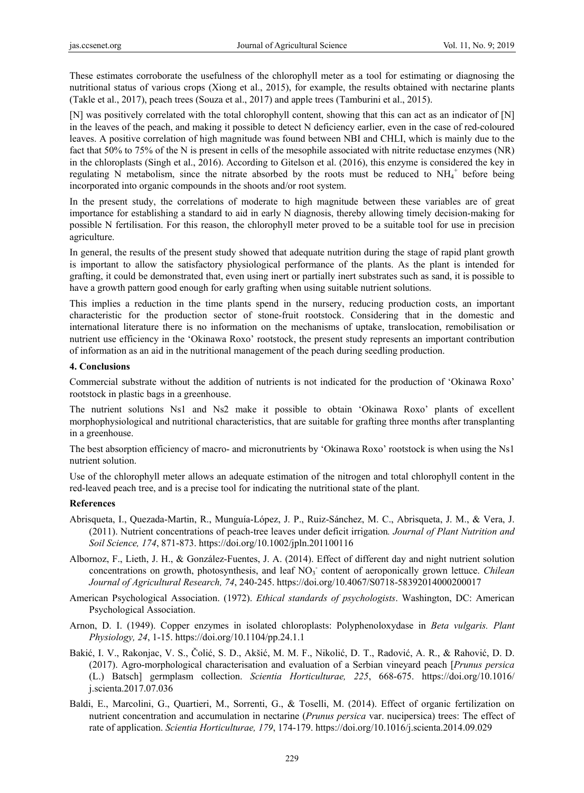These estimates corroborate the usefulness of the chlorophyll meter as a tool for estimating or diagnosing the nutritional status of various crops (Xiong et al., 2015), for example, the results obtained with nectarine plants (Takle et al., 2017), peach trees (Souza et al., 2017) and apple trees (Tamburini et al., 2015).

[N] was positively correlated with the total chlorophyll content, showing that this can act as an indicator of [N] in the leaves of the peach, and making it possible to detect N deficiency earlier, even in the case of red-coloured leaves. A positive correlation of high magnitude was found between NBI and CHLI, which is mainly due to the fact that 50% to 75% of the N is present in cells of the mesophile associated with nitrite reductase enzymes (NR) in the chloroplasts (Singh et al., 2016). According to Gitelson et al. (2016), this enzyme is considered the key in regulating N metabolism, since the nitrate absorbed by the roots must be reduced to  $NH_4^+$  before being incorporated into organic compounds in the shoots and/or root system.

In the present study, the correlations of moderate to high magnitude between these variables are of great importance for establishing a standard to aid in early N diagnosis, thereby allowing timely decision-making for possible N fertilisation. For this reason, the chlorophyll meter proved to be a suitable tool for use in precision agriculture.

In general, the results of the present study showed that adequate nutrition during the stage of rapid plant growth is important to allow the satisfactory physiological performance of the plants. As the plant is intended for grafting, it could be demonstrated that, even using inert or partially inert substrates such as sand, it is possible to have a growth pattern good enough for early grafting when using suitable nutrient solutions.

This implies a reduction in the time plants spend in the nursery, reducing production costs, an important characteristic for the production sector of stone-fruit rootstock. Considering that in the domestic and international literature there is no information on the mechanisms of uptake, translocation, remobilisation or nutrient use efficiency in the 'Okinawa Roxo' rootstock, the present study represents an important contribution of information as an aid in the nutritional management of the peach during seedling production.

### **4. Conclusions**

Commercial substrate without the addition of nutrients is not indicated for the production of 'Okinawa Roxo' rootstock in plastic bags in a greenhouse.

The nutrient solutions Ns1 and Ns2 make it possible to obtain 'Okinawa Roxo' plants of excellent morphophysiological and nutritional characteristics, that are suitable for grafting three months after transplanting in a greenhouse.

The best absorption efficiency of macro- and micronutrients by 'Okinawa Roxo' rootstock is when using the Ns1 nutrient solution.

Use of the chlorophyll meter allows an adequate estimation of the nitrogen and total chlorophyll content in the red-leaved peach tree, and is a precise tool for indicating the nutritional state of the plant.

### **References**

- Abrisqueta, I., Quezada-Martin, R., Munguía-López, J. P., Ruiz-Sánchez, M. C., Abrisqueta, J. M., & Vera, J. (2011). Nutrient concentrations of peach-tree leaves under deficit irrigation*. Journal of Plant Nutrition and Soil Science, 174*, 871-873. https://doi.org/10.1002/jpln.201100116
- Albornoz, F., Lieth, J. H., & González-Fuentes, J. A. (2014). Effect of different day and night nutrient solution concentrations on growth, photosynthesis, and leaf NO<sub>3</sub> content of aeroponically grown lettuce. *Chilean Journal of Agricultural Research, 74*, 240-245. https://doi.org/10.4067/S0718-58392014000200017
- American Psychological Association. (1972). *Ethical standards of psychologists*. Washington, DC: American Psychological Association.
- Arnon, D. I. (1949). Copper enzymes in isolated chloroplasts: Polyphenoloxydase in *Beta vulgaris. Plant Physiology, 24*, 1-15. https://doi.org/10.1104/pp.24.1.1
- Bakić, I. V., Rakonjac, V. S., Čolić, S. D., Akšić, M. M. F., Nikolić, D. T., Radović, A. R., & Rahović, D. D. (2017). Agro-morphological characterisation and evaluation of a Serbian vineyard peach [*Prunus persica* (L.) Batsch] germplasm collection. *Scientia Horticulturae, 225*, 668-675. https://doi.org/10.1016/ j.scienta.2017.07.036
- Baldi, E., Marcolini, G., Quartieri, M., Sorrenti, G., & Toselli, M. (2014). Effect of organic fertilization on nutrient concentration and accumulation in nectarine (*Prunus persica* var. nucipersica) trees: The effect of rate of application. *Scientia Horticulturae, 179*, 174-179. https://doi.org/10.1016/j.scienta.2014.09.029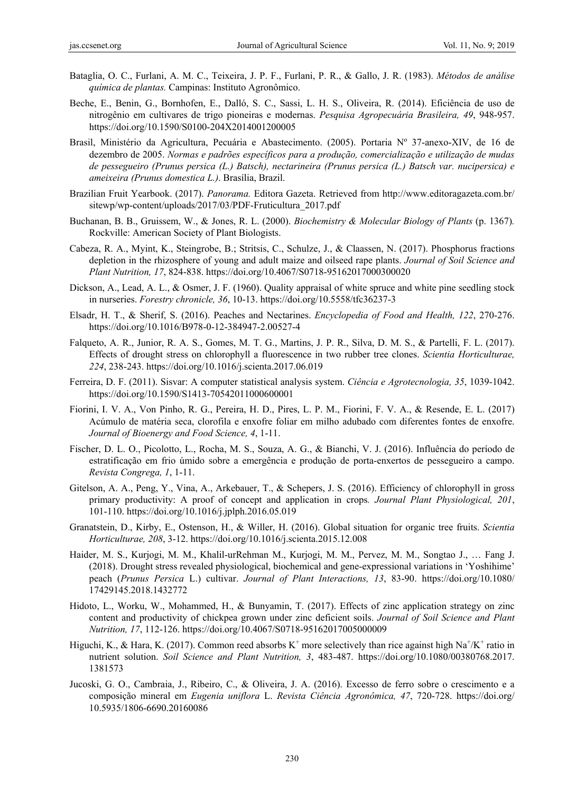- Bataglia, O. C., Furlani, A. M. C., Teixeira, J. P. F., Furlani, P. R., & Gallo, J. R. (1983). *Métodos de análise química de plantas.* Campinas: Instituto Agronômico.
- Beche, E., Benin, G., Bornhofen, E., Dalló, S. C., Sassi, L. H. S., Oliveira, R. (2014). Eficiência de uso de nitrogênio em cultivares de trigo pioneiras e modernas. *Pesquisa Agropecuária Brasileira, 49*, 948-957. https://doi.org/10.1590/S0100-204X2014001200005
- Brasil, Ministério da Agricultura, Pecuária e Abastecimento. (2005). Portaria Nº 37-anexo-XIV, de 16 de dezembro de 2005. *Normas e padrões específicos para a produção, comercialização e utilização de mudas de pessegueiro (Prunus persica (L.) Batsch), nectarineira (Prunus persica (L.) Batsch var. nucipersica) e ameixeira (Prunus domestica L.)*. Brasília, Brazil.
- Brazilian Fruit Yearbook. (2017). *Panorama.* Editora Gazeta. Retrieved from http://www.editoragazeta.com.br/ sitewp/wp-content/uploads/2017/03/PDF-Fruticultura\_2017.pdf
- Buchanan, B. B., Gruissem, W., & Jones, R. L. (2000). *Biochemistry & Molecular Biology of Plants* (p. 1367)*.* Rockville: American Society of Plant Biologists.
- Cabeza, R. A., Myint, K., Steingrobe, B.; Stritsis, C., Schulze, J., & Claassen, N. (2017). Phosphorus fractions depletion in the rhizosphere of young and adult maize and oilseed rape plants. *Journal of Soil Science and Plant Nutrition, 17*, 824-838. https://doi.org/10.4067/S0718-95162017000300020
- Dickson, A., Lead, A. L., & Osmer, J. F. (1960). Quality appraisal of white spruce and white pine seedling stock in nurseries. *Forestry chronicle, 36*, 10-13. https://doi.org/10.5558/tfc36237-3
- Elsadr, H. T., & Sherif, S. (2016). Peaches and Nectarines. *Encyclopedia of Food and Health, 122*, 270-276. https://doi.org/10.1016/B978-0-12-384947-2.00527-4
- Falqueto, A. R., Junior, R. A. S., Gomes, M. T. G., Martins, J. P. R., Silva, D. M. S., & Partelli, F. L. (2017). Effects of drought stress on chlorophyll a fluorescence in two rubber tree clones. *Scientia Horticulturae, 224*, 238-243. https://doi.org/10.1016/j.scienta.2017.06.019
- Ferreira, D. F. (2011). Sisvar: A computer statistical analysis system. *Ciência e Agrotecnologia, 35*, 1039-1042. https://doi.org/10.1590/S1413-70542011000600001
- Fiorini, I. V. A., Von Pinho, R. G., Pereira, H. D., Pires, L. P. M., Fiorini, F. V. A., & Resende, E. L. (2017) Acúmulo de matéria seca, clorofila e enxofre foliar em milho adubado com diferentes fontes de enxofre. *Journal of Bioenergy and Food Science, 4*, 1-11.
- Fischer, D. L. O., Picolotto, L., Rocha, M. S., Souza, A. G., & Bianchi, V. J. (2016). Influência do período de estratificação em frio úmido sobre a emergência e produção de porta-enxertos de pessegueiro a campo. *Revista Congrega, 1*, 1-11.
- Gitelson, A. A., Peng, Y., Vina, A., Arkebauer, T., & Schepers, J. S. (2016). Efficiency of chlorophyll in gross primary productivity: A proof of concept and application in crops*. Journal Plant Physiological, 201*, 101-110. https://doi.org/10.1016/j.jplph.2016.05.019
- Granatstein, D., Kirby, E., Ostenson, H., & Willer, H. (2016). Global situation for organic tree fruits. *Scientia Horticulturae, 208*, 3-12. https://doi.org/10.1016/j.scienta.2015.12.008
- Haider, M. S., Kurjogi, M. M., Khalil-urRehman M., Kurjogi, M. M., Pervez, M. M., Songtao J., … Fang J. (2018). Drought stress revealed physiological, biochemical and gene-expressional variations in 'Yoshihime' peach (*Prunus Persica* L.) cultivar. *Journal of Plant Interactions, 13*, 83-90. https://doi.org/10.1080/ 17429145.2018.1432772
- Hidoto, L., Worku, W., Mohammed, H., & Bunyamin, T. (2017). Effects of zinc application strategy on zinc content and productivity of chickpea grown under zinc deficient soils. *Journal of Soil Science and Plant Nutrition, 17*, 112-126. https://doi.org/10.4067/S0718-95162017005000009
- Higuchi, K., & Hara, K. (2017). Common reed absorbs  $K^+$  more selectively than rice against high Na<sup>+</sup>/K<sup>+</sup> ratio in nutrient solution. *Soil Science and Plant Nutrition, 3*, 483-487. https://doi.org/10.1080/00380768.2017. 1381573
- Jucoski, G. O., Cambraia, J., Ribeiro, C., & Oliveira, J. A. (2016). Excesso de ferro sobre o crescimento e a composição mineral em *Eugenia uniflora* L. *Revista Ciência Agronômica, 47*, 720-728. https://doi.org/ 10.5935/1806-6690.20160086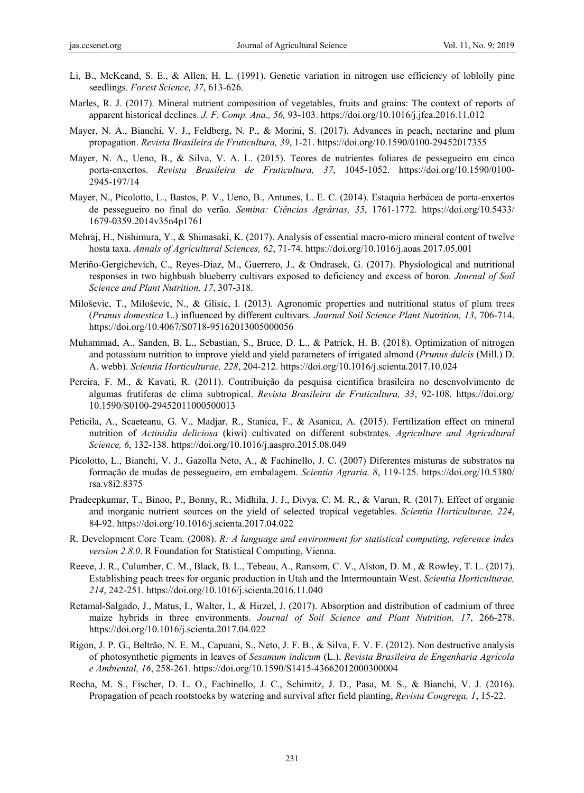- Li, B., McKeand, S. E., & Allen, H. L. (1991). Genetic variation in nitrogen use efficiency of loblolly pine seedlings. *Forest Science, 37*, 613-626.
- Marles, R. J. (2017). Mineral nutrient composition of vegetables, fruits and grains: The context of reports of apparent historical declines. *J. F. Comp. Ana., 56,* 93-103. https://doi.org/10.1016/j.jfca.2016.11.012
- Mayer, N. A., Bianchi, V. J., Feldberg, N. P., & Morini, S. (2017). Advances in peach, nectarine and plum propagation. *Revista Brasileira de Fruticultura, 39*, 1-21. https://doi.org/10.1590/0100-29452017355
- Mayer, N. A., Ueno, B., & Silva, V. A. L. (2015). Teores de nutrientes foliares de pessegueiro em cinco porta-enxertos. *Revista Brasileira de Fruticultura, 37*, 1045-1052. https://doi.org/10.1590/0100- 2945-197/14
- Mayer, N., Picolotto, L., Bastos, P. V., Ueno, B., Antunes, L. E. C. (2014). Estaquia herbácea de porta-enxertos de pessegueiro no final do verão*. Semina: Ciências Agrárias, 35*, 1761-1772. https://doi.org/10.5433/ 1679-0359.2014v35n4p1761
- Mehraj, H., Nishimura, Y., & Shimasaki, K. (2017). Analysis of essential macro-micro mineral content of twelve hosta taxa. *Annals of Agricultural Sciences, 62*, 71-74. https://doi.org/10.1016/j.aoas.2017.05.001
- Meriño-Gergichevich, C., Reyes-Díaz, M., Guerrero, J., & Ondrasek, G. (2017). Physiological and nutritional responses in two highbush blueberry cultivars exposed to deficiency and excess of boron. *Journal of Soil Science and Plant Nutrition, 17*, 307-318.
- Miloševic, T., Miloševic, N., & Glisic, I. (2013). Agronomic properties and nutritional status of plum trees (*Prunus domestica* L.) influenced by different cultivars. *Journal Soil Science Plant Nutrition, 13*, 706-714. https://doi.org/10.4067/S0718-95162013005000056
- Muhammad, A., Sanden, B. L., Sebastian, S., Bruce, D. L., & Patrick, H. B. (2018). Optimization of nitrogen and potassium nutrition to improve yield and yield parameters of irrigated almond (*Prunus dulcis* (Mill.) D. A. webb). *Scientia Horticulturae, 228*, 204-212. https://doi.org/10.1016/j.scienta.2017.10.024
- Pereira, F. M., & Kavati, R. (2011). Contribuição da pesquisa científica brasileira no desenvolvimento de algumas frutíferas de clima subtropical. *Revista Brasileira de Fruticultura, 33*, 92-108. https://doi.org/ 10.1590/S0100-29452011000500013
- Peticila, A., Scaeteanu, G. V., Madjar, R., Stanica, F., & Asanica, A. (2015). Fertilization effect on mineral nutrition of *Actinidia deliciosa* (kiwi) cultivated on different substrates. *Agriculture and Agricultural Science, 6*, 132-138. https://doi.org/10.1016/j.aaspro.2015.08.049
- Picolotto, L., Bianchi, V. J., Gazolla Neto, A., & Fachinello, J. C. (2007) Diferentes misturas de substratos na formação de mudas de pessegueiro, em embalagem. *Scientia Agraria, 8*, 119-125. https://doi.org/10.5380/ rsa.v8i2.8375
- Pradeepkumar, T., Binoo, P., Bonny, R., Midhila, J. J., Divya, C. M. R., & Varun, R. (2017). Effect of organic and inorganic nutrient sources on the yield of selected tropical vegetables. *Scientia Horticulturae, 224*, 84-92. https://doi.org/10.1016/j.scienta.2017.04.022
- R. Development Core Team. (2008). *R: A language and environment for statistical computing, reference index version 2.8.0*. R Foundation for Statistical Computing, Vienna.
- Reeve, J. R., Culumber, C. M., Black, B. L., Tebeau, A., Ransom, C. V., Alston, D. M., & Rowley, T. L. (2017). Establishing peach trees for organic production in Utah and the Intermountain West. *Scientia Horticulturae, 214*, 242-251. https://doi.org/10.1016/j.scienta.2016.11.040
- Retamal-Salgado, J., Matus, I., Walter, I., & Hirzel, J. (2017). Absorption and distribution of cadmium of three maize hybrids in three environments. *Journal of Soil Science and Plant Nutrition, 17*, 266-278. https://doi.org/10.1016/j.scienta.2017.04.022
- Rigon, J. P. G., Beltrão, N. E. M., Capuani, S., Neto, J. F. B., & Silva, F. V. F. (2012). Non destructive analysis of photosynthetic pigments in leaves of *Sesamum indicum* (L.). *Revista Brasileira de Engenharia Agrícola e Ambiental, 16*, 258-261. https://doi.org/10.1590/S1415-43662012000300004
- Rocha, M. S., Fischer, D. L. O., Fachinello, J. C., Schimitz, J. D., Pasa, M. S., & Bianchi, V. J. (2016). Propagation of peach rootstocks by watering and survival after field planting, *Revista Congrega, 1*, 15-22.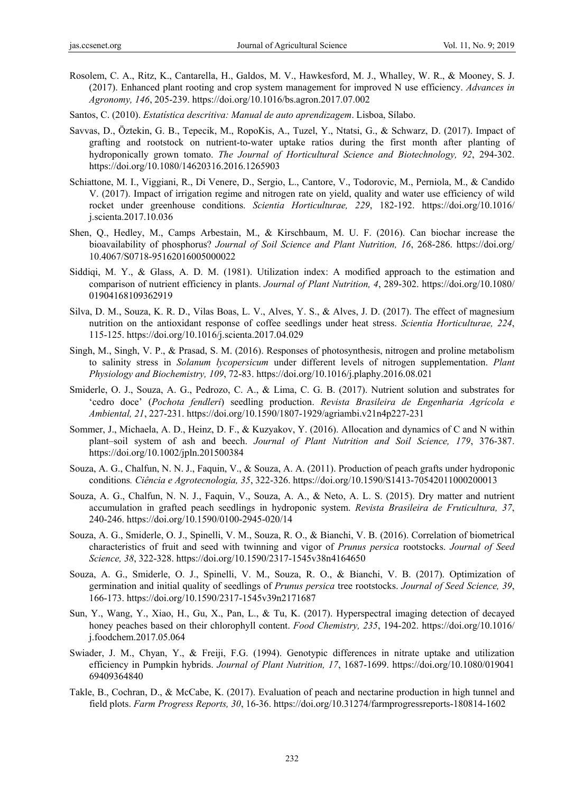- Rosolem, C. A., Ritz, K., Cantarella, H., Galdos, M. V., Hawkesford, M. J., Whalley, W. R., & Mooney, S. J. (2017). Enhanced plant rooting and crop system management for improved N use efficiency. *Advances in Agronomy, 146*, 205-239. https://doi.org/10.1016/bs.agron.2017.07.002
- Santos, C. (2010). *Estatística descritiva: Manual de auto aprendizagem*. Lisboa, Sílabo.
- Savvas, D., Öztekin, G. B., Tepecik, M., RopoKis, A., Tuzel, Y., Ntatsi, G., & Schwarz, D. (2017). Impact of grafting and rootstock on nutrient-to-water uptake ratios during the first month after planting of hydroponically grown tomato. *The Journal of Horticultural Science and Biotechnology, 92*, 294-302. https://doi.org/10.1080/14620316.2016.1265903
- Schiattone, M. I., Viggiani, R., Di Venere, D., Sergio, L., Cantore, V., Todorovic, M., Perniola, M., & Candido V. (2017). Impact of irrigation regime and nitrogen rate on yield, quality and water use efficiency of wild rocket under greenhouse conditions. *Scientia Horticulturae, 229*, 182-192. https://doi.org/10.1016/ j.scienta.2017.10.036
- Shen, Q., Hedley, M., Camps Arbestain, M., & Kirschbaum, M. U. F. (2016). Can biochar increase the bioavailability of phosphorus? *Journal of Soil Science and Plant Nutrition, 16*, 268-286. https://doi.org/ 10.4067/S0718-95162016005000022
- Siddiqi, M. Y., & Glass, A. D. M. (1981). Utilization index: A modified approach to the estimation and comparison of nutrient efficiency in plants. *Journal of Plant Nutrition, 4*, 289-302. https://doi.org/10.1080/ 01904168109362919
- Silva, D. M., Souza, K. R. D., Vilas Boas, L. V., Alves, Y. S., & Alves, J. D. (2017). The effect of magnesium nutrition on the antioxidant response of coffee seedlings under heat stress. *Scientia Horticulturae, 224*, 115-125. https://doi.org/10.1016/j.scienta.2017.04.029
- Singh, M., Singh, V. P., & Prasad, S. M. (2016). Responses of photosynthesis, nitrogen and proline metabolism to salinity stress in *Solanum lycopersicum* under different levels of nitrogen supplementation. *Plant Physiology and Biochemistry, 109*, 72-83. https://doi.org/10.1016/j.plaphy.2016.08.021
- Smiderle, O. J., Souza, A. G., Pedrozo, C. A., & Lima, C. G. B. (2017). Nutrient solution and substrates for 'cedro doce' (*Pochota fendleri*) seedling production. *Revista Brasileira de Engenharia Agrícola e Ambiental, 21*, 227-231. https://doi.org/10.1590/1807-1929/agriambi.v21n4p227-231
- Sommer, J., Michaela, A. D., Heinz, D. F., & Kuzyakov, Y. (2016). Allocation and dynamics of C and N within plant–soil system of ash and beech. *Journal of Plant Nutrition and Soil Science, 179*, 376-387. https://doi.org/10.1002/jpln.201500384
- Souza, A. G., Chalfun, N. N. J., Faquin, V., & Souza, A. A. (2011). Production of peach grafts under hydroponic conditions*. Ciência e Agrotecnologia, 35*, 322-326. https://doi.org/10.1590/S1413-70542011000200013
- Souza, A. G., Chalfun, N. N. J., Faquin, V., Souza, A. A., & Neto, A. L. S. (2015). Dry matter and nutrient accumulation in grafted peach seedlings in hydroponic system. *Revista Brasileira de Fruticultura, 37*, 240-246. https://doi.org/10.1590/0100-2945-020/14
- Souza, A. G., Smiderle, O. J., Spinelli, V. M., Souza, R. O., & Bianchi, V. B. (2016). Correlation of biometrical characteristics of fruit and seed with twinning and vigor of *Prunus persica* rootstocks. *Journal of Seed Science, 38*, 322-328. https://doi.org/10.1590/2317-1545v38n4164650
- Souza, A. G., Smiderle, O. J., Spinelli, V. M., Souza, R. O., & Bianchi, V. B. (2017). Optimization of germination and initial quality of seedlings of *Prunus persica* tree rootstocks. *Journal of Seed Science, 39*, 166-173. https://doi.org/10.1590/2317-1545v39n2171687
- Sun, Y., Wang, Y., Xiao, H., Gu, X., Pan, L., & Tu, K. (2017). Hyperspectral imaging detection of decayed honey peaches based on their chlorophyll content. *Food Chemistry, 235*, 194-202. https://doi.org/10.1016/ j.foodchem.2017.05.064
- Swiader, J. M., Chyan, Y., & Freiji, F.G. (1994). Genotypic differences in nitrate uptake and utilization efficiency in Pumpkin hybrids. *Journal of Plant Nutrition, 17*, 1687-1699. https://doi.org/10.1080/019041 69409364840
- Takle, B., Cochran, D., & McCabe, K. (2017). Evaluation of peach and nectarine production in high tunnel and field plots. *Farm Progress Reports, 30*, 16-36. https://doi.org/10.31274/farmprogressreports-180814-1602